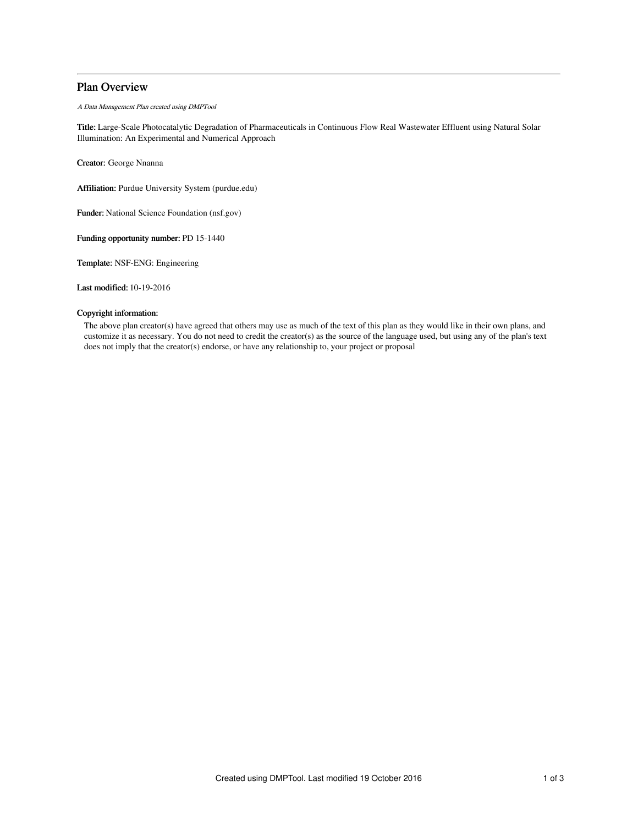# Plan Overview

A Data Management Plan created using DMPTool

Title: Large-Scale Photocatalytic Degradation of Pharmaceuticals in Continuous Flow Real Wastewater Effluent using Natural Solar Illumination: An Experimental and Numerical Approach

Creator: George Nnanna

Affiliation: Purdue University System (purdue.edu)

Funder: National Science Foundation (nsf.gov)

Funding opportunity number: PD 15-1440

Template: NSF-ENG: Engineering

Last modified: 10-19-2016

## Copyright information:

The above plan creator(s) have agreed that others may use as much of the text of this plan as they would like in their own plans, and customize it as necessary. You do not need to credit the creator(s) as the source of the language used, but using any of the plan's text does not imply that the creator(s) endorse, or have any relationship to, your project or proposal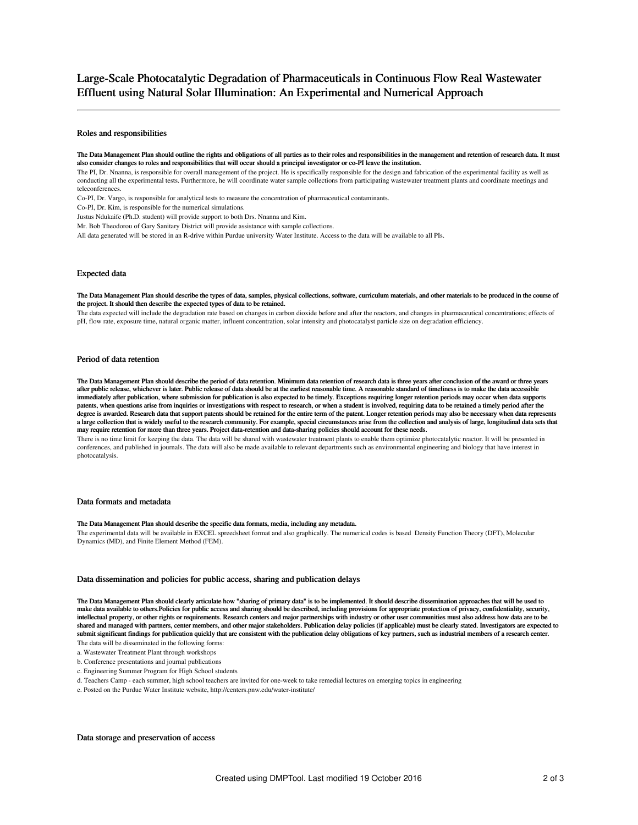# Large-Scale Photocatalytic Degradation of Pharmaceuticals in Continuous Flow Real Wastewater Effluent using Natural Solar Illumination: An Experimental and Numerical Approach

#### Roles and responsibilities

The Data Management Plan should outline the rights and obligations of all parties as to their roles and responsibilities in the management and retention of research data. It must also consider changes to roles and responsibilities that will occur should a principal investigator or co-PI leave the institution.

The PI, Dr. Nnanna, is responsible for overall management of the project. He is specifically responsible for the design and fabrication of the experimental facility as well as conducting all the experimental tests. Furthermore, he will coordinate water sample collections from participating wastewater treatment plants and coordinate meetings and teleconferences.

Co-PI, Dr. Vargo, is responsible for analytical tests to measure the concentration of pharmaceutical contaminants.

Co-PI, Dr. Kim, is responsible for the numerical simulations.

Justus Ndukaife (Ph.D. student) will provide support to both Drs. Nnanna and Kim.

Mr. Bob Theodorou of Gary Sanitary District will provide assistance with sample collections.

All data generated will be stored in an R-drive within Purdue university Water Institute. Access to the data will be available to all PIs.

#### Expected data

The Data Management Plan should describe the types of data, samples, physical collections, software, curriculum materials, and other materials to be produced in the course of the project. It should then describe the expected types of data to be retained.

The data expected will include the degradation rate based on changes in carbon dioxide before and after the reactors, and changes in pharmaceutical concentrations; effects of pH, flow rate, exposure time, natural organic matter, influent concentration, solar intensity and photocatalyst particle size on degradation efficiency.

## Period of data retention

The Data Management Plan should describe the period of data retention. Minimum data retention of research data is three years after conclusion of the award or three years after public release, whichever is later. Public release of data should be at the earliest reasonable time. A reasonable standard of timeliness is to make the data accessible immediately after publication, where submission for publication is also expected to be timely. Exceptions requiring longer retention periods may occur when data supports patents, when questions arise from inquiries or investigations with respect to research, or when a student is involved, requiring data to be retained a timely period after the degree is awarded. Research data that support patents should be retained for the entire term of the patent. Longer retention periods may also be necessary when data represents a large collection that is widely useful to the research community. For example, special circumstances arise from the collection and analysis of large, longitudinal data sets that<br>may require retention for more than three

There is no time limit for keeping the data. The data will be shared with wastewater treatment plants to enable them optimize photocatalytic reactor. It will be presented in conferences, and published in journals. The data will also be made available to relevant departments such as environmental engineering and biology that have interest in photocatalysis.

#### Data formats and metadata

#### The Data Management Plan should describe the specific data formats, media, including any metadata.

The experimental data will be available in EXCEL spreedsheet format and also graphically. The numerical codes is based Density Function Theory (DFT), Molecular Dynamics (MD), and Finite Element Method (FEM).

#### Data dissemination and policies for public access, sharing and publication delays

The Data Management Plan should clearly articulate how "sharing of primary data" is to be implemented. It should describe dissemination approaches that will be used to make data available to others.Policies for public access and sharing should be described, including provisions for appropriate protection of privacy, confidentiality, security, intellectual property, or other rights or requirements. Research centers and major partnerships with industry or other user communities must also address how data are to be shared and managed with partners, center members, and other major stakeholders. Publication delay policies (if applicable) must be clearly stated. Investigators are expected to submit significant findings for publication quickly that are consistent with the publication delay obligations of key partners, such as industrial members of a research center. The data will be disseminated in the following forms:

a. Wastewater Treatment Plant through workshops

- b. Conference presentations and journal publications
- c. Engineering Summer Program for High School students
- d. Teachers Camp each summer, high school teachers are invited for one-week to take remedial lectures on emerging topics in engineering
- e. Posted on the Purdue Water Institute website, http://centers.pnw.edu/water-institute/

### Data storage and preservation of access